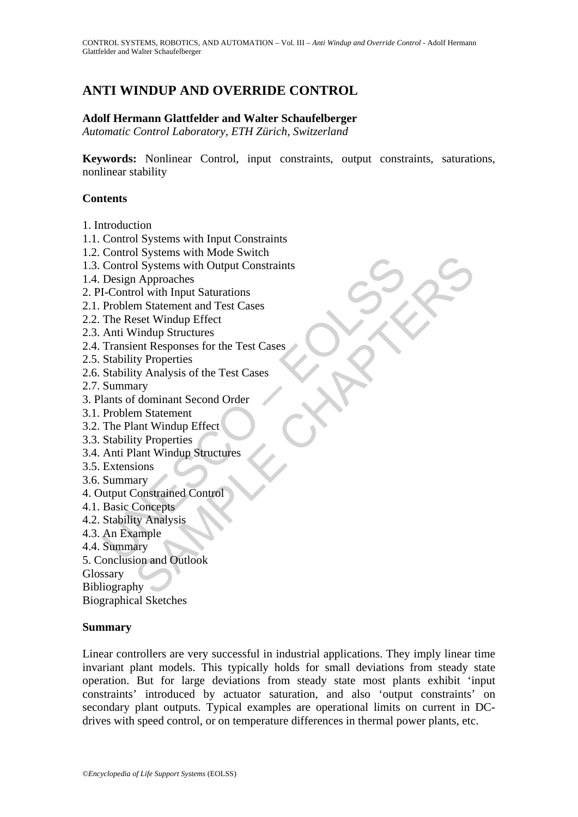# **ANTI WINDUP AND OVERRIDE CONTROL**

### **Adolf Hermann Glattfelder and Walter Schaufelberger**

*Automatic Control Laboratory, ETH Zürich, Switzerland* 

**Keywords:** Nonlinear Control, input constraints, output constraints, saturations, nonlinear stability

#### **Contents**

- 1. Introduction
- 1.1. Control Systems with Input Constraints
- 1.2. Control Systems with Mode Switch
- Control Systems with Output Constraints<br>
Control Systems with Output Constraints<br>
Design Approaches<br>
I-Control with Input Saturations<br>
Problem Statement and Test Cases<br>
Anti Windows Erdwidth Percet<br>
Anti Windows Froutnes<br> The Systems win Output Constraints<br>
and Systems with Output Constraints<br>
and Systems with Output Constraints<br>
cold with Input Saturations<br>
are Separation and Test Cases<br>
For Vierperties<br>
Explore the Test Cases<br>
ary<br>
ty Pro 1.3. Control Systems with Output Constraints
- 1.4. Design Approaches
- 2. PI-Control with Input Saturations
- 2.1. Problem Statement and Test Cases
- 2.2. The Reset Windup Effect
- 2.3. Anti Windup Structures
- 2.4. Transient Responses for the Test Cases
- 2.5. Stability Properties
- 2.6. Stability Analysis of the Test Cases
- 2.7. Summary
- 3. Plants of dominant Second Order
- 3.1. Problem Statement
- 3.2. The Plant Windup Effect
- 3.3. Stability Properties
- 3.4. Anti Plant Windup Structures
- 3.5. Extensions
- 3.6. Summary
- 4. Output Constrained Control
- 4.1. Basic Concepts
- 4.2. Stability Analysis
- 4.3. An Example
- 4.4. Summary
- 5. Conclusion and Outlook

Glossary

**Bibliography** 

Biographical Sketches

#### **Summary**

Linear controllers are very successful in industrial applications. They imply linear time invariant plant models. This typically holds for small deviations from steady state operation. But for large deviations from steady state most plants exhibit 'input constraints' introduced by actuator saturation, and also 'output constraints' on secondary plant outputs. Typical examples are operational limits on current in DCdrives with speed control, or on temperature differences in thermal power plants, etc.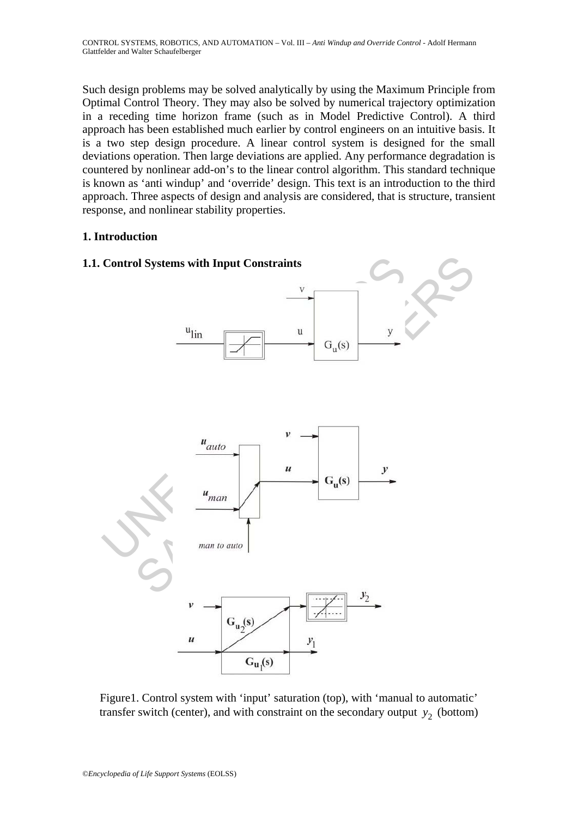Such design problems may be solved analytically by using the Maximum Principle from Optimal Control Theory. They may also be solved by numerical trajectory optimization in a receding time horizon frame (such as in Model Predictive Control). A third approach has been established much earlier by control engineers on an intuitive basis. It is a two step design procedure. A linear control system is designed for the small deviations operation. Then large deviations are applied. Any performance degradation is countered by nonlinear add-on's to the linear control algorithm. This standard technique is known as 'anti windup' and 'override' design. This text is an introduction to the third approach. Three aspects of design and analysis are considered, that is structure, transient response, and nonlinear stability properties.

# **1. Introduction**



Figure1. Control system with 'input' saturation (top), with 'manual to automatic' transfer switch (center), and with constraint on the secondary output  $y_2$  (bottom)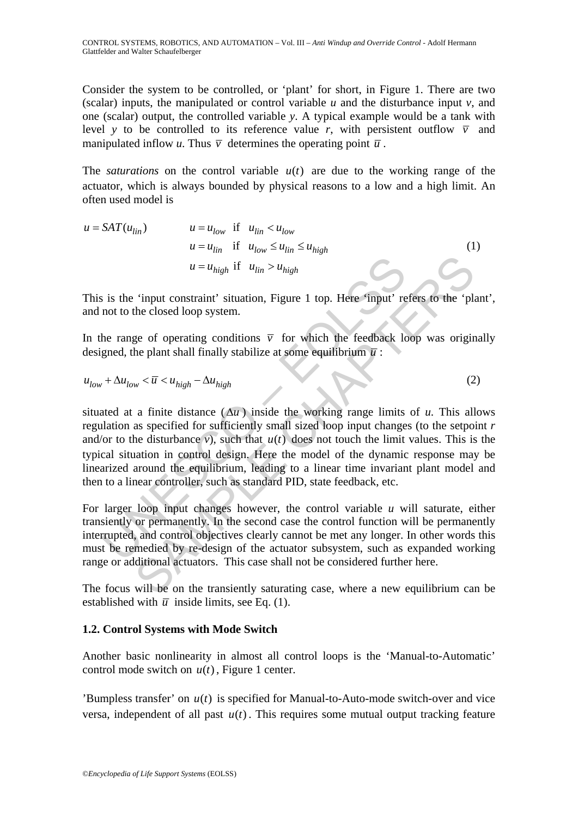Consider the system to be controlled, or 'plant' for short, in Figure 1. There are two (scalar) inputs, the manipulated or control variable  $u$  and the disturbance input  $v$ , and one (scalar) output, the controlled variable *y*. A typical example would be a tank with level *y* to be controlled to its reference value *r*, with persistent outflow  $\overline{v}$  and manipulated inflow *u*. Thus  $\overline{v}$  determines the operating point  $\overline{u}$ .

The *saturations* on the control variable  $u(t)$  are due to the working range of the actuator, which is always bounded by physical reasons to a low and a high limit. An often used model is

$$
u = SAT(u_{lin}) \qquad u = u_{low} \quad \text{if} \quad u_{lin} < u_{low}
$$
\n
$$
u = u_{lin} \quad \text{if} \quad u_{low} \le u_{lin} \le u_{high}
$$
\n
$$
u = u_{high} \quad \text{if} \quad u_{lin} > u_{high}
$$
\n
$$
(1)
$$

This is the 'input constraint' situation, Figure 1 top. Here 'input' refers to the 'plant', and not to the closed loop system.

In the range of operating conditions  $\overline{v}$  for which the feedback loop was originally designed, the plant shall finally stabilize at some equilibrium  $\bar{u}$ :

$$
u_{low} + \Delta u_{low} < \overline{u} < u_{high} - \Delta u_{high} \tag{2}
$$

 $u = u_{high}$  if  $u_{lin} > u_{high}$ <br>
is is the 'input constraint' situation, Figure 1 top. Here 'input' re<br>
not to the closed loop system.<br>
he range of operating conditions  $\overline{v}$  for which the feedback lc<br>
gned, the plant shall fi  $u = u_{high}$  if  $u_{lin} > u_{high}$ <br>
"input constraint' situation, Figure 1 top. Here 'input' refers to the 'plicket closed loop system.<br>
ge of operating conditions  $\overline{v}$  for which the feedback loop was origin<br>
he closed loop syst situated at a finite distance  $(\Delta u)$  inside the working range limits of *u*. This allows regulation as specified for sufficiently small sized loop input changes (to the setpoint *r* and/or to the disturbance  $v$ ), such that  $u(t)$  does not touch the limit values. This is the typical situation in control design. Here the model of the dynamic response may be linearized around the equilibrium, leading to a linear time invariant plant model and then to a linear controller, such as standard PID, state feedback, etc.

For larger loop input changes however, the control variable *u* will saturate, either transiently or permanently. In the second case the control function will be permanently interrupted, and control objectives clearly cannot be met any longer. In other words this must be remedied by re-design of the actuator subsystem, such as expanded working range or additional actuators. This case shall not be considered further here.

The focus will be on the transiently saturating case, where a new equilibrium can be established with  $\bar{u}$  inside limits, see Eq. (1).

# **1.2. Control Systems with Mode Switch**

Another basic nonlinearity in almost all control loops is the 'Manual-to-Automatic' control mode switch on  $u(t)$ , Figure 1 center.

'Bumpless transfer' on  $u(t)$  is specified for Manual-to-Auto-mode switch-over and vice versa, independent of all past  $u(t)$ . This requires some mutual output tracking feature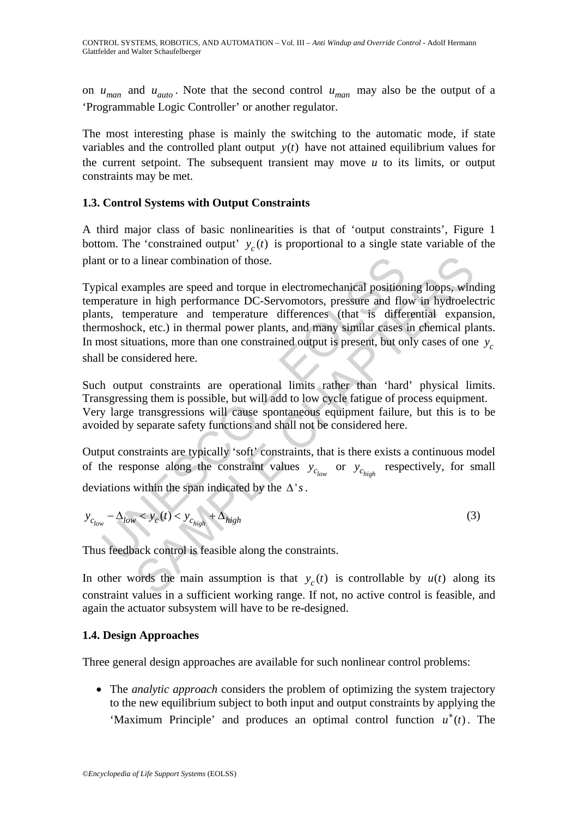on  $u_{man}$  and  $u_{auto}$ . Note that the second control  $u_{man}$  may also be the output of a 'Programmable Logic Controller' or another regulator.

The most interesting phase is mainly the switching to the automatic mode, if state variables and the controlled plant output  $y(t)$  have not attained equilibrium values for the current setpoint. The subsequent transient may move *u* to its limits, or output constraints may be met.

# **1.3. Control Systems with Output Constraints**

A third major class of basic nonlinearities is that of 'output constraints', Figure 1 bottom. The 'constrained output'  $y_c(t)$  is proportional to a single state variable of the plant or to a linear combination of those.

it or to a linear combination of those.<br>
ical examples are speed and torque in electromechanical position<br>
perature in high performance DC-Servomotors, pressure and flo<br>
its, temperature and temperature differences (that a linear combination of those.<br>
amples are speed and torque in electromechanical positioning loops, wind<br>
e in high performance DC-Servomotors, pressure and flow in hydroeler<br>
mperature and temperature differences (that i Typical examples are speed and torque in electromechanical positioning loops, winding temperature in high performance DC-Servomotors, pressure and flow in hydroelectric plants, temperature and temperature differences (that is differential expansion, thermoshock, etc.) in thermal power plants, and many similar cases in chemical plants. In most situations, more than one constrained output is present, but only cases of one  $y_c$ shall be considered here.

Such output constraints are operational limits rather than 'hard' physical limits. Transgressing them is possible, but will add to low cycle fatigue of process equipment. Very large transgressions will cause spontaneous equipment failure, but this is to be avoided by separate safety functions and shall not be considered here.

Output constraints are typically 'soft' constraints, that is there exists a continuous model of the response along the constraint values  $y_{c_{low}}$  or respectively, for small deviations within the span indicated by the Δ'*s*.

 $y_{c_{low}} - \Delta_{low} < y_c(t) < y_{c_{high}} + \Delta_{high}$  (3)

Thus feedback control is feasible along the constraints.

In other words the main assumption is that  $y_c(t)$  is controllable by  $u(t)$  along its constraint values in a sufficient working range. If not, no active control is feasible, and again the actuator subsystem will have to be re-designed.

# **1.4. Design Approaches**

Three general design approaches are available for such nonlinear control problems:

• The *analytic approach* considers the problem of optimizing the system trajectory to the new equilibrium subject to both input and output constraints by applying the 'Maximum Principle' and produces an optimal control function  $u^*(t)$ . The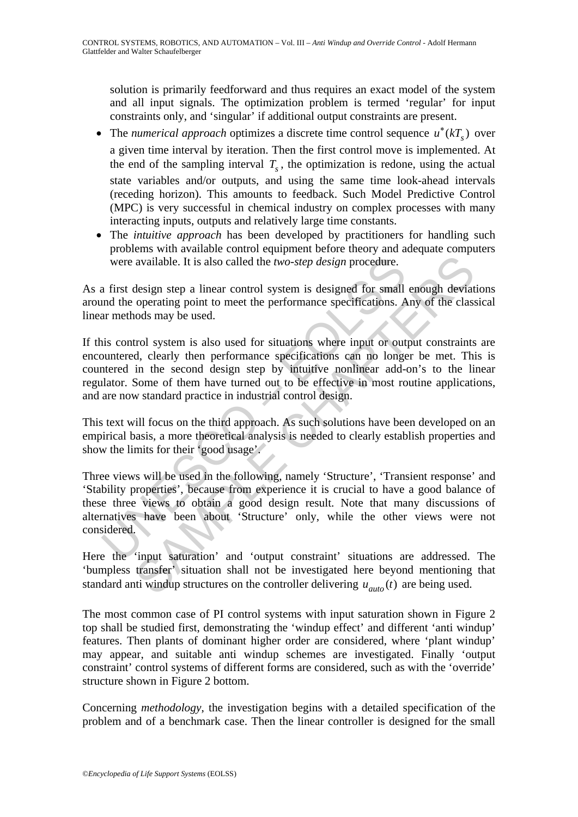solution is primarily feedforward and thus requires an exact model of the system and all input signals. The optimization problem is termed 'regular' for input constraints only, and 'singular' if additional output constraints are present.

- The *numerical approach* optimizes a discrete time control sequence  $u^*(kT)$  over a given time interval by iteration. Then the first control move is implemented. At the end of the sampling interval  $T<sub>s</sub>$ , the optimization is redone, using the actual state variables and/or outputs, and using the same time look-ahead intervals (receding horizon). This amounts to feedback. Such Model Predictive Control (MPC) is very successful in chemical industry on complex processes with many interacting inputs, outputs and relatively large time constants.
- The *intuitive approach* has been developed by practitioners for handling such problems with available control equipment before theory and adequate computers were available. It is also called the *two-step design* procedure.

As a first design step a linear control system is designed for small enough deviations around the operating point to meet the performance specifications. Any of the classical linear methods may be used.

If this control system is also used for situations where input or output constraints are encountered, clearly then performance specifications can no longer be met. This is countered in the second design step by intuitive nonlinear add-on's to the linear regulator. Some of them have turned out to be effective in most routine applications, and are now standard practice in industrial control design.

This text will focus on the third approach. As such solutions have been developed on an empirical basis, a more theoretical analysis is needed to clearly establish properties and show the limits for their 'good usage'.

were available. It is also called the *two-step design* procedure.<br>
a first design step a linear control system is designed for small<br>
and the operating point to meet the performance specifications. A<br>
ar methods may be u available. It is also called the *two-step design* procedure.<br>
design step a linear control system is designed for small enough deviat<br>
operating point to meet the performance specifications. Any of the class<br>
ords may be Three views will be used in the following, namely 'Structure', 'Transient response' and 'Stability properties', because from experience it is crucial to have a good balance of these three views to obtain a good design result. Note that many discussions of alternatives have been about 'Structure' only, while the other views were not considered.

Here the 'input saturation' and 'output constraint' situations are addressed. The 'bumpless transfer' situation shall not be investigated here beyond mentioning that standard anti windup structures on the controller delivering  $u_{auto}(t)$  are being used.

The most common case of PI control systems with input saturation shown in Figure 2 top shall be studied first, demonstrating the 'windup effect' and different 'anti windup' features. Then plants of dominant higher order are considered, where 'plant windup' may appear, and suitable anti windup schemes are investigated. Finally 'output constraint' control systems of different forms are considered, such as with the 'override' structure shown in Figure 2 bottom.

Concerning *methodology*, the investigation begins with a detailed specification of the problem and of a benchmark case. Then the linear controller is designed for the small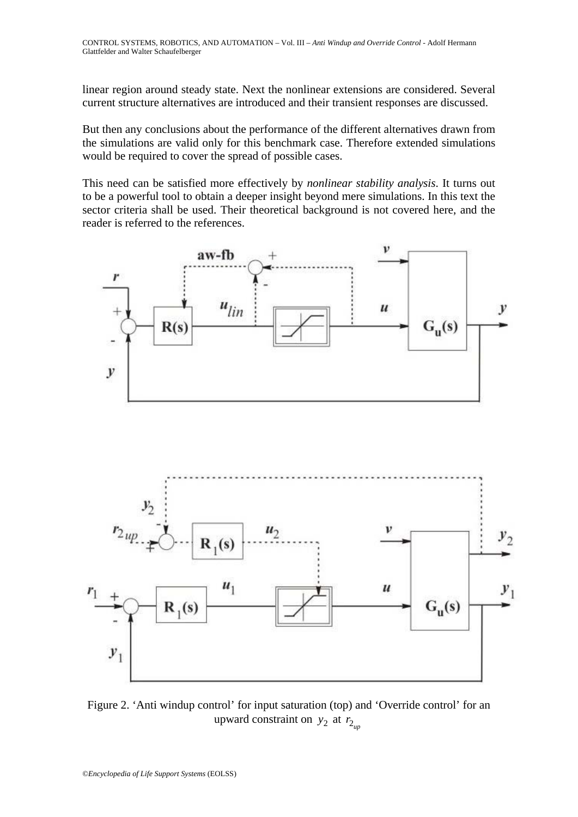linear region around steady state. Next the nonlinear extensions are considered. Several current structure alternatives are introduced and their transient responses are discussed.

But then any conclusions about the performance of the different alternatives drawn from the simulations are valid only for this benchmark case. Therefore extended simulations would be required to cover the spread of possible cases.

This need can be satisfied more effectively by *nonlinear stability analysis*. It turns out to be a powerful tool to obtain a deeper insight beyond mere simulations. In this text the sector criteria shall be used. Their theoretical background is not covered here, and the reader is referred to the references.





Figure 2. 'Anti windup control' for input saturation (top) and 'Override control' for an upward constraint on  $y_2$  at  $r_{2m}$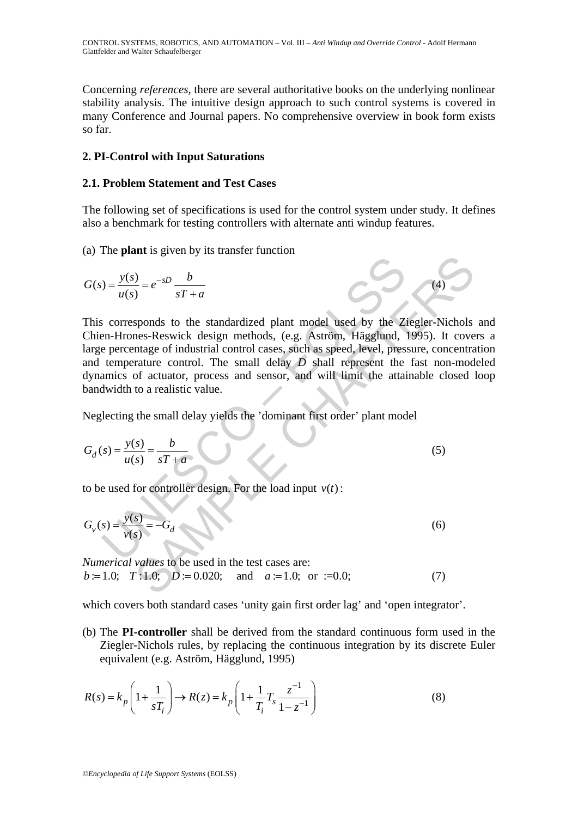Concerning *references*, there are several authoritative books on the underlying nonlinear stability analysis. The intuitive design approach to such control systems is covered in many Conference and Journal papers. No comprehensive overview in book form exists so far.

### **2. PI-Control with Input Saturations**

#### **2.1. Problem Statement and Test Cases**

The following set of specifications is used for the control system under study. It defines also a benchmark for testing controllers with alternate anti windup features.

(4)

(a) The **plant** is given by its transfer function

$$
G(s) = \frac{y(s)}{u(s)} = e^{-sD} \frac{b}{sT + a}
$$

 $y = \frac{y(s)}{u(s)} = e^{-sD} \frac{b}{sT+a}$ <br>
So corresponds to the standardized plant model used by the Zi<br>
an-Hrones-Reswick design methods, (e.g. Aström, Hägglund,<br>
temperature control. The small delay *D* shall represent the<br>
denomi  $\frac{S}{s} = e^{-sD} \frac{b}{sT+a}$  (4)<br>
sponds to the standardized plant model used by the Ziegler-Nichols<br>
nes-Reswick design methods, (e.g. Aström, Hägglund, 1995). It cover<br>
nrature control. The small delay *D* shall represent t This corresponds to the standardized plant model used by the Ziegler-Nichols and Chien-Hrones-Reswick design methods, (e.g. Aström, Hägglund, 1995). It covers a large percentage of industrial control cases, such as speed, level, pressure, concentration and temperature control. The small delay *D* shall represent the fast non-modeled dynamics of actuator, process and sensor, and will limit the attainable closed loop bandwidth to a realistic value.

Neglecting the small delay yields the 'dominant first order' plant model

$$
G_d(s) = \frac{y(s)}{u(s)} = \frac{b}{sT + a}
$$
\n<sup>(5)</sup>

to be used for controller design. For the load input  $v(t)$ :

$$
G_{\nu}(s) = \frac{y(s)}{\nu(s)} = -G_d
$$
 (6)

*Numerical values* to be used in the test cases are:  $b = 1.0;$   $T:1.0;$   $D = 0.020;$  and  $a = 1.0;$  or  $:=0.0;$  (7)

which covers both standard cases 'unity gain first order lag' and 'open integrator'.

(b) The **PI-controller** shall be derived from the standard continuous form used in the Ziegler-Nichols rules, by replacing the continuous integration by its discrete Euler equivalent (e.g. Aström, Hägglund, 1995)

$$
R(s) = k_p \left( 1 + \frac{1}{sT_i} \right) \to R(z) = k_p \left( 1 + \frac{1}{T_i} T_s \frac{z^{-1}}{1 - z^{-1}} \right)
$$
 (8)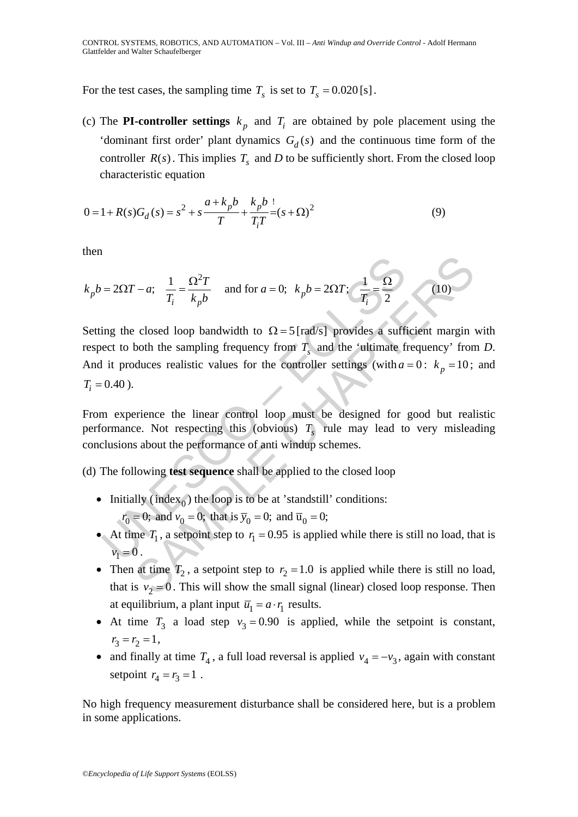For the test cases, the sampling time  $T<sub>s</sub>$  is set to  $T<sub>s</sub> = 0.020$  [s].

(c) The **PI-controller settings**  $k<sub>p</sub>$  and  $T<sub>i</sub>$  are obtained by pole placement using the 'dominant first order' plant dynamics  $G_d(s)$  and the continuous time form of the controller  $R(s)$ . This implies  $T<sub>s</sub>$  and *D* to be sufficiently short. From the closed loop characteristic equation

$$
0 = 1 + R(s)G_d(s) = s^2 + s\frac{a + k_p b}{T} + \frac{k_p b}{T_i T} = (s + \Omega)^2
$$
\n(9)

then

$$
k_p b = 2\Omega T - a
$$
;  $\frac{1}{T_i} = \frac{\Omega^2 T}{k_p b}$  and for  $a = 0$ ;  $k_p b = 2\Omega T$ ;  $\frac{1}{T_i} = \frac{\Omega}{2}$  (10)

=  $2\Omega T - a$ ;  $\frac{1}{T_i} = \frac{\Omega^2 T}{k_p b}$  and for  $a = 0$ ;  $k_p b = 2\Omega T$ ;  $\frac{1}{T_i} = \frac{\Omega}{2}$ <br>
ing the closed loop bandwidth to  $\Omega = 5$  [rad/s] provides a suffice to both the sampling frequency from  $T_s$  and the 'ultimate fi<br>
it pr  $- a; \frac{1}{T_i} = \frac{\Omega^2 T}{k_p b}$  and for  $a = 0; k_p b = 2\Omega T; \frac{1}{T_i} = \frac{\Omega}{2}$  (10)<br>
closed loop bandwidth to  $\Omega = 5$  [rad/s] provides a sufficient margin<br>
both the sampling frequency from  $T$ , and the 'ultimate frequency' from<br>
du Setting the closed loop bandwidth to  $\Omega = 5$  [rad/s] provides a sufficient margin with respect to both the sampling frequency from  $T<sub>s</sub>$  and the 'ultimate frequency' from *D*. And it produces realistic values for the controller settings (with  $a = 0$ :  $k<sub>n</sub> = 10$ ; and  $T_i = 0.40$ .

From experience the linear control loop must be designed for good but realistic performance. Not respecting this (obvious)  $T<sub>s</sub>$  rule may lead to very misleading conclusions about the performance of anti windup schemes.

- (d) The following **test sequence** shall be applied to the closed loop
	- Initially (index $_0$ ) the loop is to be at 'standstill' conditions:  $r_0 = 0$ ; and  $v_0 = 0$ ; that is  $\bar{y}_0 = 0$ ; and  $\bar{u}_0 = 0$ ;
	- At time  $T_1$ , a setpoint step to  $r_1 = 0.95$  is applied while there is still no load, that is  $v_1 = 0$ .
	- Then at time  $T_2$ , a setpoint step to  $r_2 = 1.0$  is applied while there is still no load, that is  $v_2 = 0$ . This will show the small signal (linear) closed loop response. Then at equilibrium, a plant input  $\overline{u}_1 = a \cdot r_1$  results.
	- At time  $T_3$  a load step  $v_3 = 0.90$  is applied, while the setpoint is constant,  $r_3 = r_2 = 1$ ,
	- and finally at time  $T_4$ , a full load reversal is applied  $v_4 = -v_3$ , again with constant setpoint  $r_4 = r_3 = 1$ .

No high frequency measurement disturbance shall be considered here, but is a problem in some applications.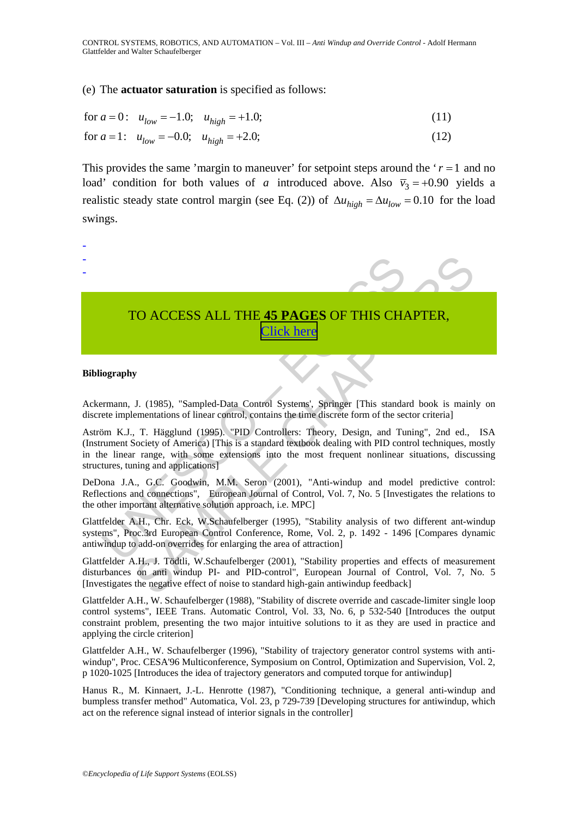#### (e) The **actuator saturation** is specified as follows:

for 
$$
a = 0
$$
:  $u_{low} = -1.0$ ;  $u_{high} = +1.0$ ; (11)

for 
$$
a = 1
$$
:  $u_{low} = -0.0$ ;  $u_{high} = +2.0$ ; (12)

This provides the same 'margin to maneuver' for setpoint steps around the  $r = 1$  and no load' condition for both values of *a* introduced above. Also  $\overline{v}_3 = +0.90$  yields a realistic steady state control margin (see Eq. (2)) of  $\Delta u_{high} = \Delta u_{low} = 0.10$  for the load swings.



#### **Bibliography**

Ackermann, J. (1985), "Sampled-Data Control Systems', Springer [This standard book is mainly on discrete implementations of linear control, contains the time discrete form of the sector criteria]

Aström K.J., T. Hägglund (1995). "PID Controllers: Theory, Design, and Tuning", 2nd ed., ISA (Instrument Society of America) [This is a standard textbook dealing with PID control techniques, mostly in the linear range, with some extensions into the most frequent nonlinear situations, discussing structures, tuning and applications]

DeDona J.A., G.C. Goodwin, M.M. Seron (2001), "Anti-windup and model predictive control: Reflections and connections", European Journal of Control, Vol. 7, No. 5 [Investigates the relations to the other important alternative solution approach, i.e. MPC]

Glattfelder A.H., Chr. Eck, W.Schaufelberger (1995), "Stability analysis of two different ant-windup systems", Proc.3rd European Control Conference, Rome, Vol. 2, p. 1492 - 1496 [Compares dynamic antiwindup to add-on overrides for enlarging the area of attraction]

Glattfelder A.H., J. Tödtli, W.Schaufelberger (2001), "Stability properties and effects of measurement disturbances on anti windup PI- and PID-control", European Journal of Control, Vol. 7, No. 5 [Investigates the negative effect of noise to standard high-gain antiwindup feedback]

Glattfelder A.H., W. Schaufelberger (1988), "Stability of discrete override and cascade-limiter single loop control systems", IEEE Trans. Automatic Control, Vol. 33, No. 6, p 532-540 [Introduces the output constraint problem, presenting the two major intuitive solutions to it as they are used in practice and applying the circle criterion]

Glattfelder A.H., W. Schaufelberger (1996), "Stability of trajectory generator control systems with antiwindup", Proc. CESA'96 Multiconference, Symposium on Control, Optimization and Supervision, Vol. 2, p 1020-1025 [Introduces the idea of trajectory generators and computed torque for antiwindup]

Hanus R., M. Kinnaert, J.-L. Henrotte (1987), "Conditioning technique, a general anti-windup and bumpless transfer method" Automatica, Vol. 23, p 729-739 [Developing structures for antiwindup, which act on the reference signal instead of interior signals in the controller]